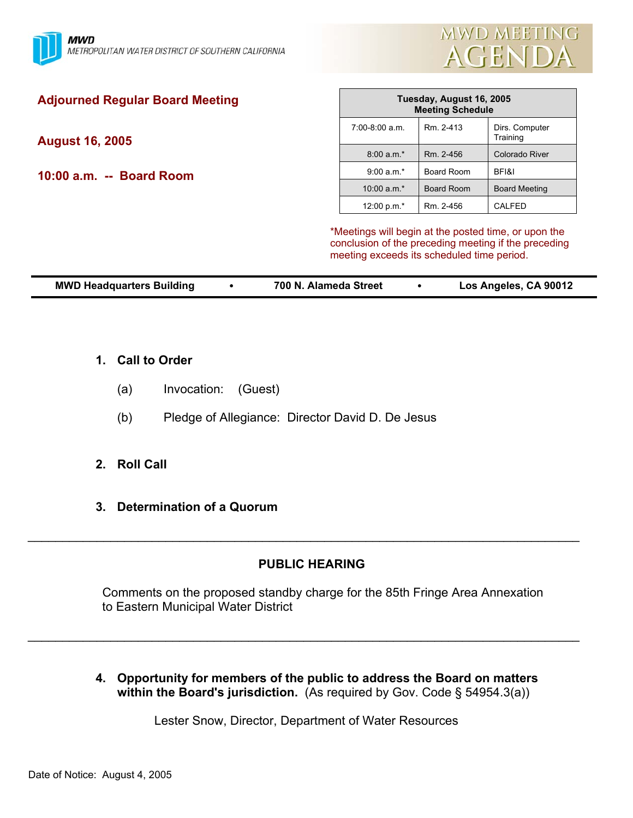

| <b>Adjourned Regular Board Meeting</b> | Tuesday, August 16, 2005<br><b>Meeting Schedule</b> |            |                                                                                                              |
|----------------------------------------|-----------------------------------------------------|------------|--------------------------------------------------------------------------------------------------------------|
| August 16, 2005                        | $7:00-8:00$ a.m.                                    | Rm. 2-413  | Dirs. Computer<br>Training                                                                                   |
|                                        | $8:00 a.m.*$                                        | Rm. 2-456  | Colorado River                                                                                               |
| 10:00 a.m. -- Board Room               | $9:00 a.m.*$                                        | Board Room | BFI&I                                                                                                        |
|                                        | 10:00 $a.m.*$                                       | Board Room | <b>Board Meeting</b>                                                                                         |
|                                        | 12:00 p.m.*                                         | Rm. 2-456  | <b>CALFED</b>                                                                                                |
|                                        | meeting exceeds its scheduled time period.          |            | *Meetings will begin at the posted time, or upon the<br>conclusion of the preceding meeting if the preceding |

| <b>MWD Headquarters Building</b><br>Los Angeles, CA 90012<br>700 N. Alameda Street |
|------------------------------------------------------------------------------------|
|------------------------------------------------------------------------------------|

- **1. Call to Order**
	- (a) Invocation: (Guest)
	- (b) Pledge of Allegiance: Director David D. De Jesus
- **2. Roll Call**
- **3. Determination of a Quorum**

# **PUBLIC HEARING**

\_\_\_\_\_\_\_\_\_\_\_\_\_\_\_\_\_\_\_\_\_\_\_\_\_\_\_\_\_\_\_\_\_\_\_\_\_\_\_\_\_\_\_\_\_\_\_\_\_\_\_\_\_\_\_\_\_\_\_\_\_\_\_\_\_\_\_\_\_\_\_\_\_\_\_\_\_\_\_\_

 Comments on the proposed standby charge for the 85th Fringe Area Annexation to Eastern Municipal Water District

**4. Opportunity for members of the public to address the Board on matters within the Board's jurisdiction.** (As required by Gov. Code § 54954.3(a))

Lester Snow, Director, Department of Water Resources

\_\_\_\_\_\_\_\_\_\_\_\_\_\_\_\_\_\_\_\_\_\_\_\_\_\_\_\_\_\_\_\_\_\_\_\_\_\_\_\_\_\_\_\_\_\_\_\_\_\_\_\_\_\_\_\_\_\_\_\_\_\_\_\_\_\_\_\_\_\_\_\_\_\_\_\_\_\_\_\_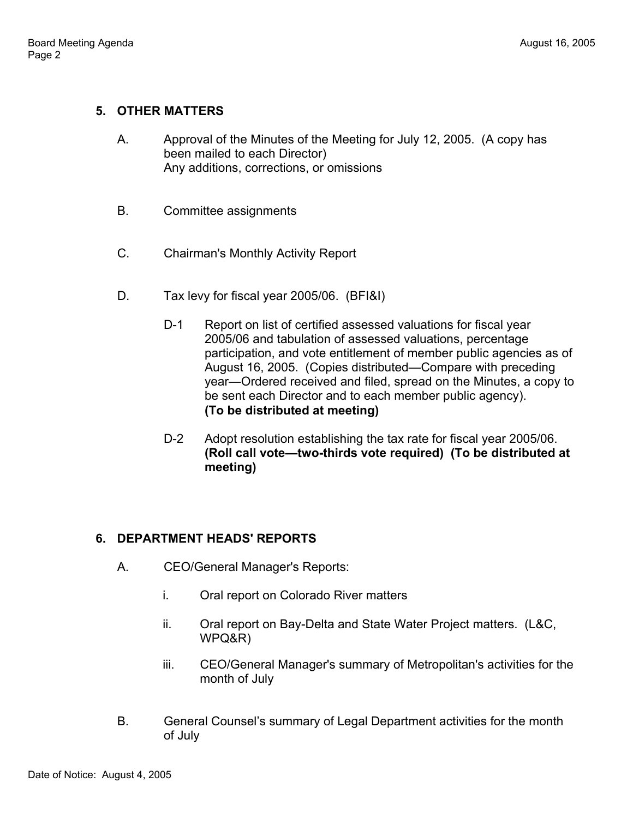# **5. OTHER MATTERS**

- A. Approval of the Minutes of the Meeting for July 12, 2005. (A copy has been mailed to each Director) Any additions, corrections, or omissions
- B. Committee assignments
- C. Chairman's Monthly Activity Report
- D. Tax levy for fiscal year 2005/06. (BFI&I)
	- D-1 Report on list of certified assessed valuations for fiscal year 2005/06 and tabulation of assessed valuations, percentage participation, and vote entitlement of member public agencies as of August 16, 2005. (Copies distributed—Compare with preceding year—Ordered received and filed, spread on the Minutes, a copy to be sent each Director and to each member public agency). **(To be distributed at meeting)**
	- D-2 Adopt resolution establishing the tax rate for fiscal year 2005/06. **(Roll call vote—two-thirds vote required) (To be distributed at meeting)**

### **6. DEPARTMENT HEADS' REPORTS**

- A. CEO/General Manager's Reports:
	- i. Oral report on Colorado River matters
	- ii. Oral report on Bay-Delta and State Water Project matters. (L&C, WPQ&R)
	- iii. CEO/General Manager's summary of Metropolitan's activities for the month of July
- B. General Counsel's summary of Legal Department activities for the month of July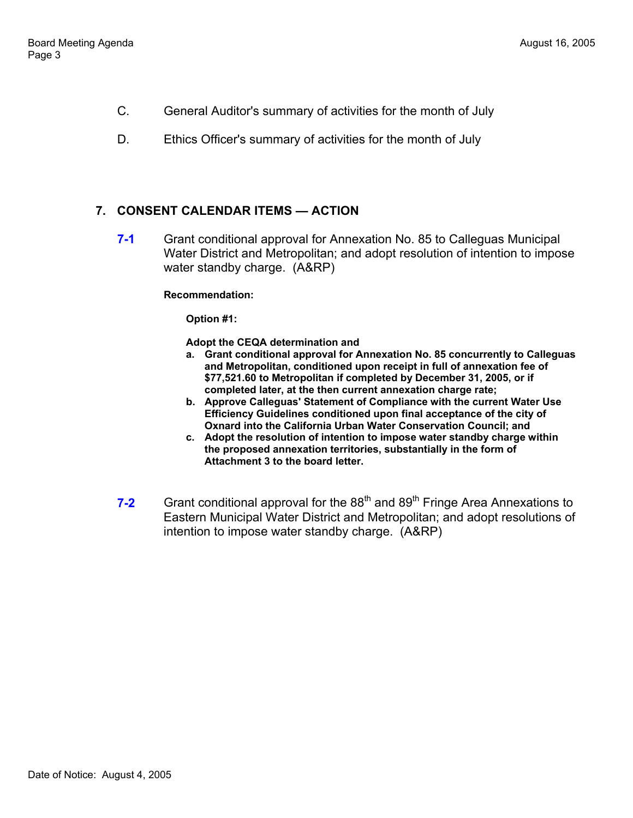- C. General Auditor's summary of activities for the month of July
- D. Ethics Officer's summary of activities for the month of July

### **7. CONSENT CALENDAR ITEMS — ACTION**

**7-1** Grant conditional approval for Annexation No. 85 to Calleguas Municipal Water District and Metropolitan; and adopt resolution of intention to impose water standby charge. (A&RP)

#### **Recommendation:**

**Option #1:** 

**Adopt the CEQA determination and**

- **a. Grant conditional approval for Annexation No. 85 concurrently to Calleguas and Metropolitan, conditioned upon receipt in full of annexation fee of \$77,521.60 to Metropolitan if completed by December 31, 2005, or if completed later, at the then current annexation charge rate;**
- **b. Approve Calleguas' Statement of Compliance with the current Water Use Efficiency Guidelines conditioned upon final acceptance of the city of Oxnard into the California Urban Water Conservation Council; and**
- **c. Adopt the resolution of intention to impose water standby charge within the proposed annexation territories, substantially in the form of Attachment 3 to the board letter.**
- **7-2** Grant conditional approval for the 88<sup>th</sup> and 89<sup>th</sup> Fringe Area Annexations to Eastern Municipal Water District and Metropolitan; and adopt resolutions of intention to impose water standby charge. (A&RP)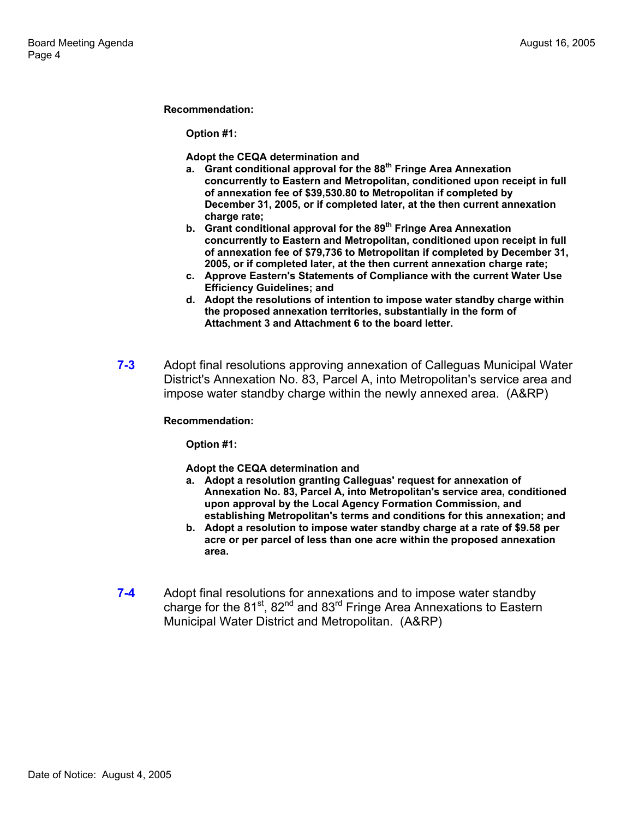#### **Recommendation:**

**Option #1:** 

**Adopt the CEQA determination and** 

- **a. Grant conditional approval for the 88th Fringe Area Annexation concurrently to Eastern and Metropolitan, conditioned upon receipt in full of annexation fee of \$39,530.80 to Metropolitan if completed by December 31, 2005, or if completed later, at the then current annexation charge rate;**
- **b. Grant conditional approval for the 89th Fringe Area Annexation concurrently to Eastern and Metropolitan, conditioned upon receipt in full of annexation fee of \$79,736 to Metropolitan if completed by December 31, 2005, or if completed later, at the then current annexation charge rate;**
- **c. Approve Eastern's Statements of Compliance with the current Water Use Efficiency Guidelines; and**
- **d. Adopt the resolutions of intention to impose water standby charge within the proposed annexation territories, substantially in the form of Attachment 3 and Attachment 6 to the board letter.**
- **7-3** Adopt final resolutions approving annexation of Calleguas Municipal Water District's Annexation No. 83, Parcel A, into Metropolitan's service area and impose water standby charge within the newly annexed area. (A&RP)

### **Recommendation:**

**Option #1:** 

**Adopt the CEQA determination and**

- **a. Adopt a resolution granting Calleguas' request for annexation of Annexation No. 83, Parcel A, into Metropolitan's service area, conditioned upon approval by the Local Agency Formation Commission, and establishing Metropolitan's terms and conditions for this annexation; and**
- **b. Adopt a resolution to impose water standby charge at a rate of \$9.58 per acre or per parcel of less than one acre within the proposed annexation area.**
- **7-4** Adopt final resolutions for annexations and to impose water standby charge for the 81<sup>st</sup>, 82<sup>nd</sup> and 83<sup>rd</sup> Fringe Area Annexations to Eastern Municipal Water District and Metropolitan. (A&RP)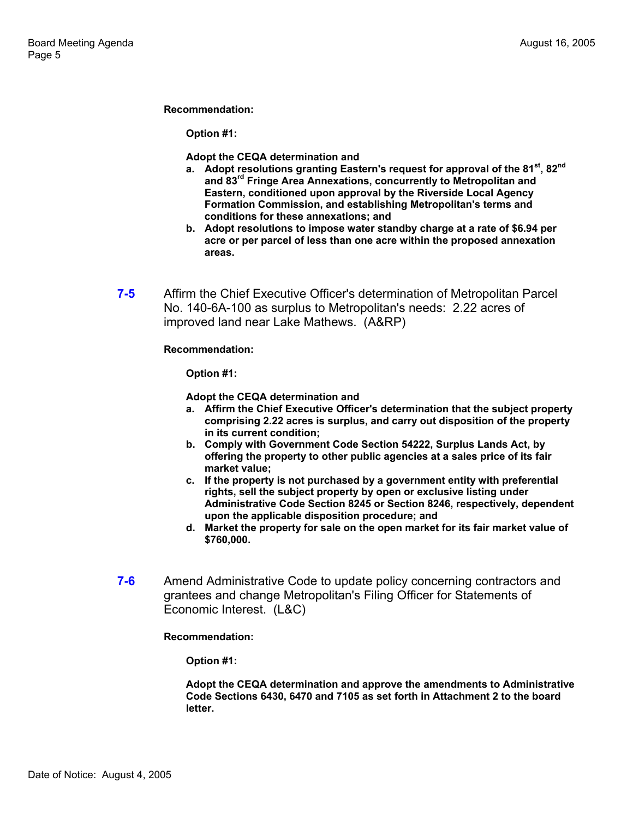**Recommendation:** 

**Option #1:** 

**Adopt the CEQA determination and**

- **a. Adopt resolutions granting Eastern's request for approval of the 81st, 82nd and 83rd Fringe Area Annexations, concurrently to Metropolitan and Eastern, conditioned upon approval by the Riverside Local Agency Formation Commission, and establishing Metropolitan's terms and conditions for these annexations; and**
- **b. Adopt resolutions to impose water standby charge at a rate of \$6.94 per acre or per parcel of less than one acre within the proposed annexation areas.**
- **7-5** Affirm the Chief Executive Officer's determination of Metropolitan Parcel No. 140-6A-100 as surplus to Metropolitan's needs: 2.22 acres of improved land near Lake Mathews. (A&RP)

**Recommendation:** 

**Option #1:** 

**Adopt the CEQA determination and** 

- **a. Affirm the Chief Executive Officer's determination that the subject property comprising 2.22 acres is surplus, and carry out disposition of the property in its current condition;**
- **b. Comply with Government Code Section 54222, Surplus Lands Act, by offering the property to other public agencies at a sales price of its fair market value;**
- **c. If the property is not purchased by a government entity with preferential rights, sell the subject property by open or exclusive listing under Administrative Code Section 8245 or Section 8246, respectively, dependent upon the applicable disposition procedure; and**
- **d. Market the property for sale on the open market for its fair market value of \$760,000.**
- **7-6** Amend Administrative Code to update policy concerning contractors and grantees and change Metropolitan's Filing Officer for Statements of Economic Interest. (L&C)

**Recommendation:** 

**Option #1:** 

**Adopt the CEQA determination and approve the amendments to Administrative Code Sections 6430, 6470 and 7105 as set forth in Attachment 2 to the board letter.**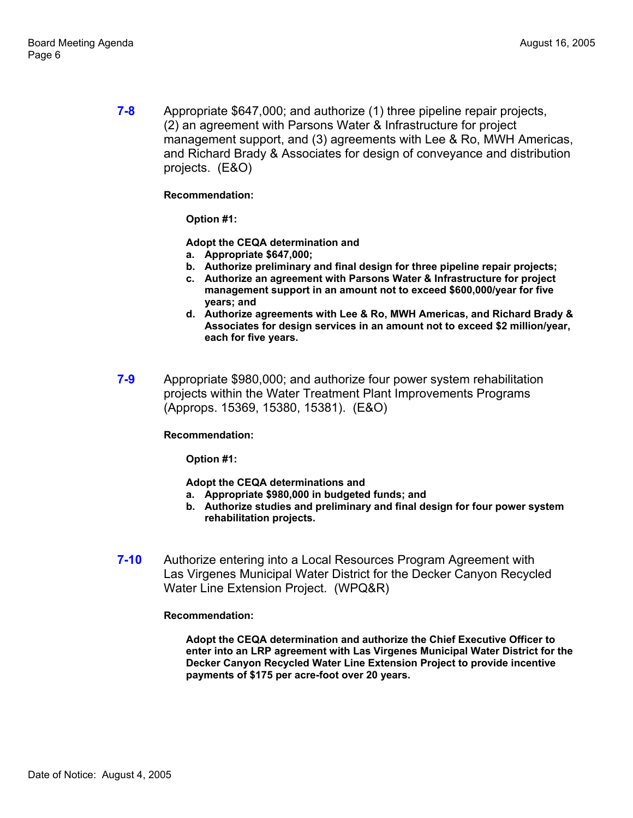**7-8** Appropriate \$647,000; and authorize (1) three pipeline repair projects, (2) an agreement with Parsons Water & Infrastructure for project management support, and (3) agreements with Lee & Ro, MWH Americas, and Richard Brady & Associates for design of conveyance and distribution projects. (E&O)

### **Recommendation:**

**Option #1:** 

**Adopt the CEQA determination and** 

- **a. Appropriate \$647,000;**
- **b. Authorize preliminary and final design for three pipeline repair projects;**
- **c. Authorize an agreement with Parsons Water & Infrastructure for project management support in an amount not to exceed \$600,000/year for five years; and**
- **d. Authorize agreements with Lee & Ro, MWH Americas, and Richard Brady & Associates for design services in an amount not to exceed \$2 million/year, each for five years.**
- **7-9** Appropriate \$980,000; and authorize four power system rehabilitation projects within the Water Treatment Plant Improvements Programs (Approps. 15369, 15380, 15381). (E&O)

### **Recommendation:**

**Option #1:** 

**Adopt the CEQA determinations and**

- **a. Appropriate \$980,000 in budgeted funds; and**
- **b. Authorize studies and preliminary and final design for four power system rehabilitation projects.**
- **7-10** Authorize entering into a Local Resources Program Agreement with Las Virgenes Municipal Water District for the Decker Canyon Recycled Water Line Extension Project. (WPQ&R)

### **Recommendation:**

**Adopt the CEQA determination and authorize the Chief Executive Officer to enter into an LRP agreement with Las Virgenes Municipal Water District for the Decker Canyon Recycled Water Line Extension Project to provide incentive payments of \$175 per acre-foot over 20 years.**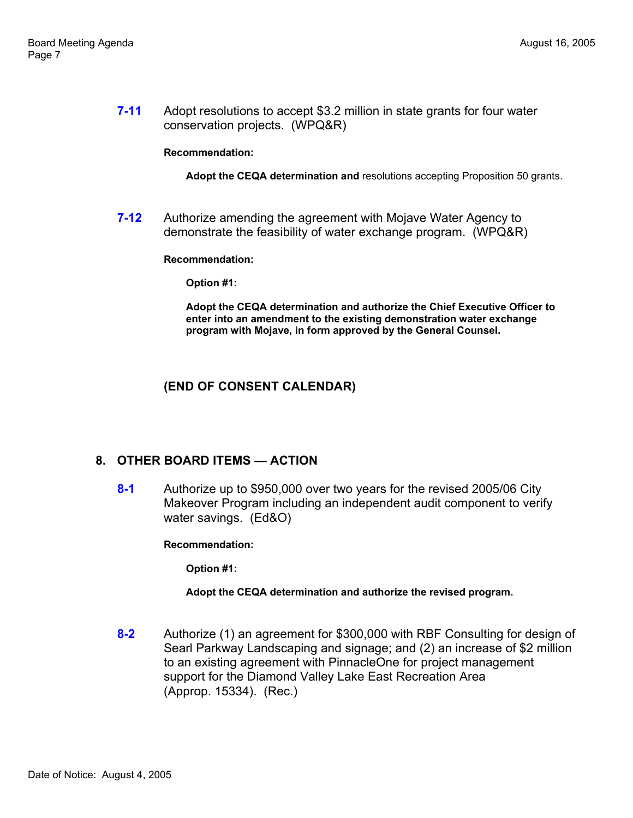**7-11** Adopt resolutions to accept \$3.2 million in state grants for four water conservation projects. (WPQ&R)

#### **Recommendation:**

**Adopt the CEQA determination and** resolutions accepting Proposition 50 grants.

**7-12** Authorize amending the agreement with Mojave Water Agency to demonstrate the feasibility of water exchange program. (WPQ&R)

#### **Recommendation:**

**Option #1:** 

**Adopt the CEQA determination and authorize the Chief Executive Officer to enter into an amendment to the existing demonstration water exchange program with Mojave, in form approved by the General Counsel.** 

### **(END OF CONSENT CALENDAR)**

### **8. OTHER BOARD ITEMS — ACTION**

**8-1** Authorize up to \$950,000 over two years for the revised 2005/06 City Makeover Program including an independent audit component to verify water savings. (Ed&O)

**Recommendation:** 

**Option #1:** 

**Adopt the CEQA determination and authorize the revised program.** 

**8-2** Authorize (1) an agreement for \$300,000 with RBF Consulting for design of Searl Parkway Landscaping and signage; and (2) an increase of \$2 million to an existing agreement with PinnacleOne for project management support for the Diamond Valley Lake East Recreation Area (Approp. 15334). (Rec.)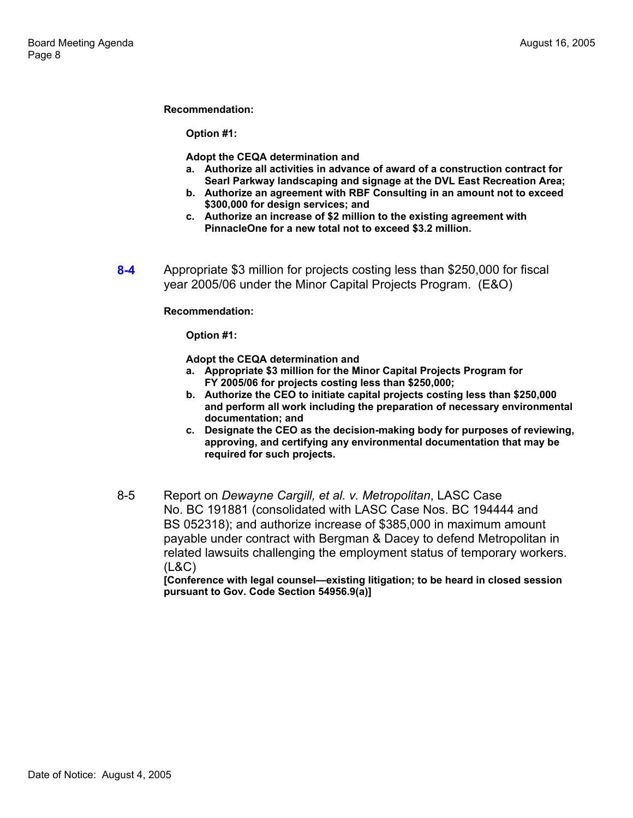#### **Recommendation:**

**Option #1:** 

**Adopt the CEQA determination and**

- **a. Authorize all activities in advance of award of a construction contract for Searl Parkway landscaping and signage at the DVL East Recreation Area;**
- **b. Authorize an agreement with RBF Consulting in an amount not to exceed \$300,000 for design services; and**
- **c. Authorize an increase of \$2 million to the existing agreement with PinnacleOne for a new total not to exceed \$3.2 million.**
- **8-4** Appropriate \$3 million for projects costing less than \$250,000 for fiscal year 2005/06 under the Minor Capital Projects Program. (E&O)

**Recommendation:** 

**Option #1:** 

**Adopt the CEQA determination and**

- **a. Appropriate \$3 million for the Minor Capital Projects Program for FY 2005/06 for projects costing less than \$250,000;**
- **b. Authorize the CEO to initiate capital projects costing less than \$250,000 and perform all work including the preparation of necessary environmental documentation; and**
- **c. Designate the CEO as the decision-making body for purposes of reviewing, approving, and certifying any environmental documentation that may be required for such projects.**
- 8-5 Report on *Dewayne Cargill, et al. v. Metropolitan*, LASC Case No. BC 191881 (consolidated with LASC Case Nos. BC 194444 and BS 052318); and authorize increase of \$385,000 in maximum amount payable under contract with Bergman & Dacey to defend Metropolitan in related lawsuits challenging the employment status of temporary workers. (L&C)

**[Conference with legal counsel—existing litigation; to be heard in closed session pursuant to Gov. Code Section 54956.9(a)]**